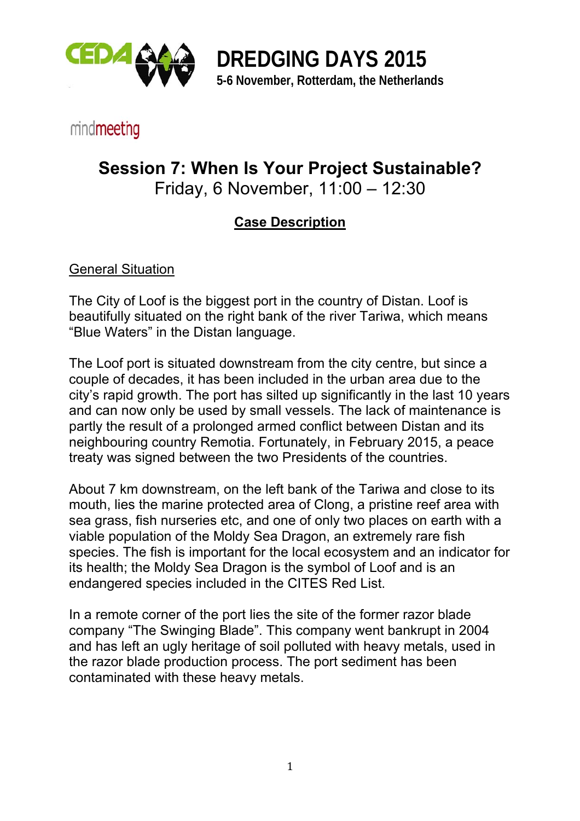

**DREDGING DAYS 2015 5-6 November, Rotterdam, the Netherlands** 

## mindmeeting

# **Session 7: When Is Your Project Sustainable?**

Friday, 6 November, 11:00 – 12:30

### **Case Description**

#### General Situation

The City of Loof is the biggest port in the country of Distan. Loof is beautifully situated on the right bank of the river Tariwa, which means "Blue Waters" in the Distan language.

The Loof port is situated downstream from the city centre, but since a couple of decades, it has been included in the urban area due to the city's rapid growth. The port has silted up significantly in the last 10 years and can now only be used by small vessels. The lack of maintenance is partly the result of a prolonged armed conflict between Distan and its neighbouring country Remotia. Fortunately, in February 2015, a peace treaty was signed between the two Presidents of the countries.

About 7 km downstream, on the left bank of the Tariwa and close to its mouth, lies the marine protected area of Clong, a pristine reef area with sea grass, fish nurseries etc, and one of only two places on earth with a viable population of the Moldy Sea Dragon, an extremely rare fish species. The fish is important for the local ecosystem and an indicator for its health; the Moldy Sea Dragon is the symbol of Loof and is an endangered species included in the CITES Red List.

In a remote corner of the port lies the site of the former razor blade company "The Swinging Blade". This company went bankrupt in 2004 and has left an ugly heritage of soil polluted with heavy metals, used in the razor blade production process. The port sediment has been contaminated with these heavy metals.